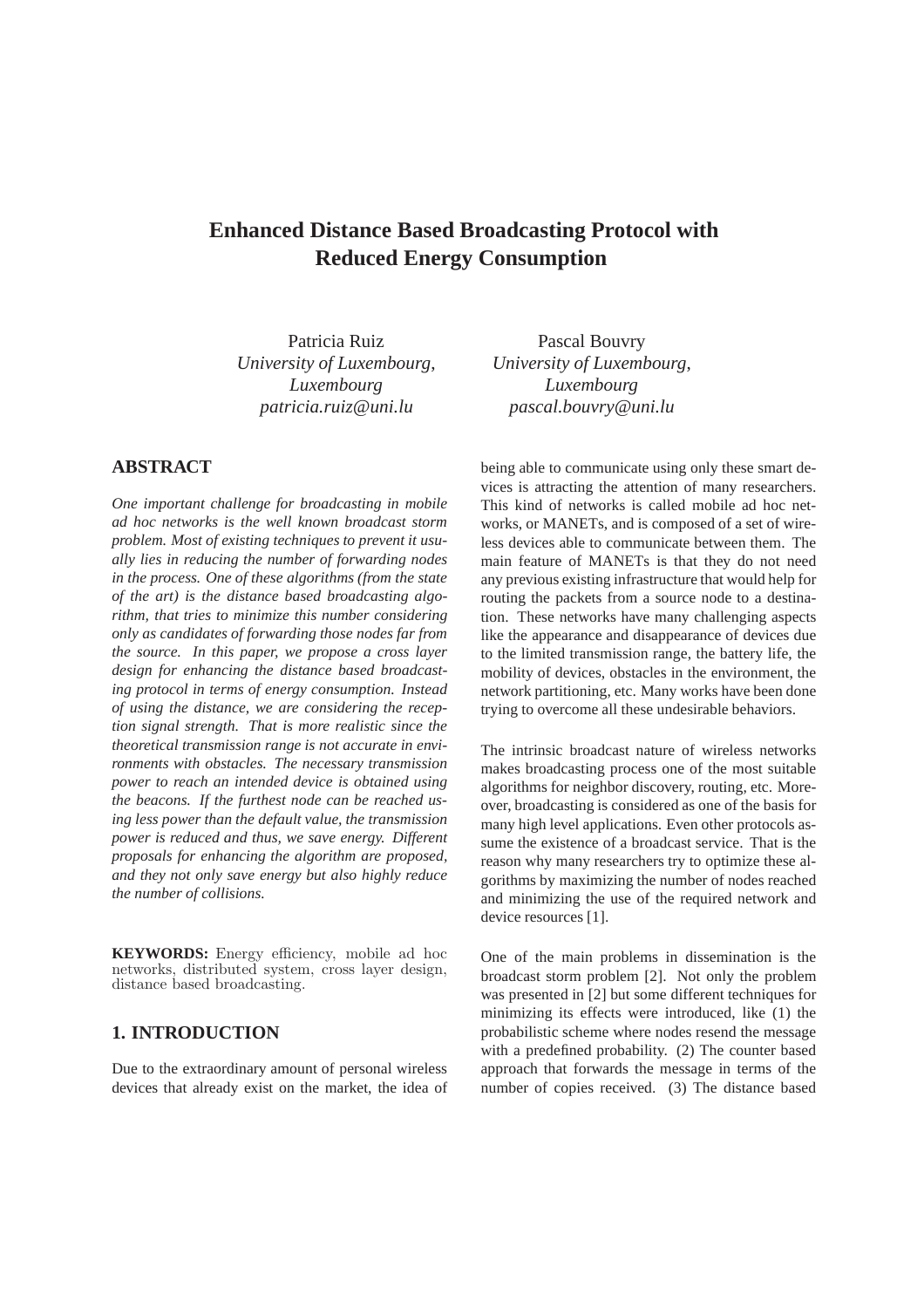# **Enhanced Distance Based Broadcasting Protocol with Reduced Energy Consumption**

Patricia Ruiz *University of Luxembourg*, *Luxembourg patricia.ruiz@uni.lu*

# **ABSTRACT**

*One important challenge for broadcasting in mobile ad hoc networks is the well known broadcast storm problem. Most of existing techniques to prevent it usually lies in reducing the number of forwarding nodes in the process. One of these algorithms (from the state of the art) is the distance based broadcasting algorithm, that tries to minimize this number considering only as candidates of forwarding those nodes far from the source. In this paper, we propose a cross layer design for enhancing the distance based broadcasting protocol in terms of energy consumption. Instead of using the distance, we are considering the reception signal strength. That is more realistic since the theoretical transmission range is not accurate in environments with obstacles. The necessary transmission power to reach an intended device is obtained using the beacons. If the furthest node can be reached using less power than the default value, the transmission power is reduced and thus, we save energy. Different proposals for enhancing the algorithm are proposed, and they not only save energy but also highly reduce the number of collisions.*

**KEYWORDS:** Energy efficiency, mobile ad hoc networks, distributed system, cross layer design, distance based broadcasting.

## **1. INTRODUCTION**

Due to the extraordinary amount of personal wireless devices that already exist on the market, the idea of

Pascal Bouvry *University of Luxembourg*, *Luxembourg pascal.bouvry@uni.lu*

being able to communicate using only these smart devices is attracting the attention of many researchers. This kind of networks is called mobile ad hoc networks, or MANETs, and is composed of a set of wireless devices able to communicate between them. The main feature of MANETs is that they do not need any previous existing infrastructure that would help for routing the packets from a source node to a destination. These networks have many challenging aspects like the appearance and disappearance of devices due to the limited transmission range, the battery life, the mobility of devices, obstacles in the environment, the network partitioning, etc. Many works have been done trying to overcome all these undesirable behaviors.

The intrinsic broadcast nature of wireless networks makes broadcasting process one of the most suitable algorithms for neighbor discovery, routing, etc. Moreover, broadcasting is considered as one of the basis for many high level applications. Even other protocols assume the existence of a broadcast service. That is the reason why many researchers try to optimize these algorithms by maximizing the number of nodes reached and minimizing the use of the required network and device resources [1].

One of the main problems in dissemination is the broadcast storm problem [2]. Not only the problem was presented in [2] but some different techniques for minimizing its effects were introduced, like (1) the probabilistic scheme where nodes resend the message with a predefined probability. (2) The counter based approach that forwards the message in terms of the number of copies received. (3) The distance based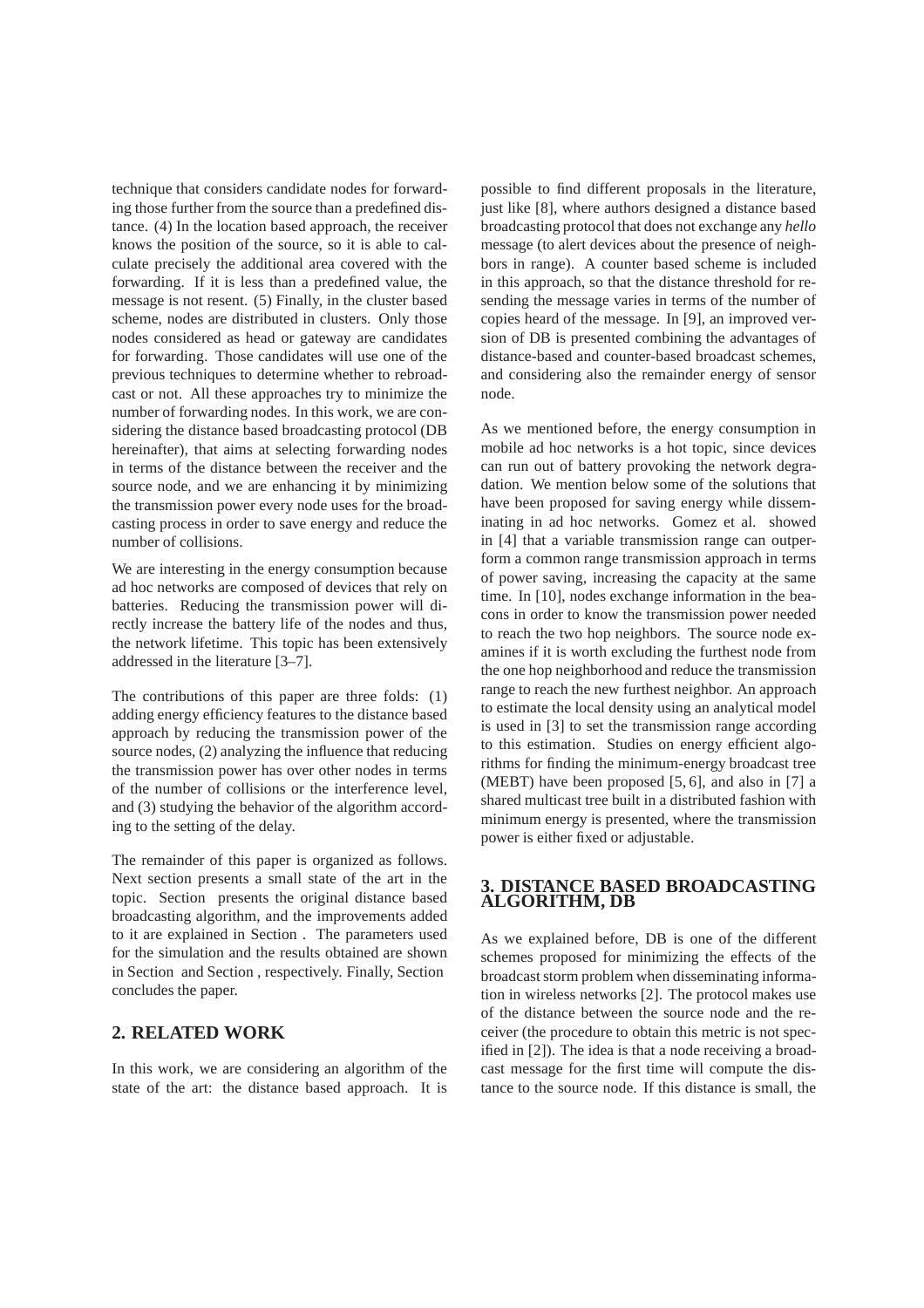technique that considers candidate nodes for forwarding those further from the source than a predefined distance. (4) In the location based approach, the receiver knows the position of the source, so it is able to calculate precisely the additional area covered with the forwarding. If it is less than a predefined value, the message is not resent. (5) Finally, in the cluster based scheme, nodes are distributed in clusters. Only those nodes considered as head or gateway are candidates for forwarding. Those candidates will use one of the previous techniques to determine whether to rebroadcast or not. All these approaches try to minimize the number of forwarding nodes. In this work, we are considering the distance based broadcasting protocol (DB hereinafter), that aims at selecting forwarding nodes in terms of the distance between the receiver and the source node, and we are enhancing it by minimizing the transmission power every node uses for the broadcasting process in order to save energy and reduce the number of collisions.

We are interesting in the energy consumption because ad hoc networks are composed of devices that rely on batteries. Reducing the transmission power will directly increase the battery life of the nodes and thus, the network lifetime. This topic has been extensively addressed in the literature [3–7].

The contributions of this paper are three folds: (1) adding energy efficiency features to the distance based approach by reducing the transmission power of the source nodes, (2) analyzing the influence that reducing the transmission power has over other nodes in terms of the number of collisions or the interference level, and (3) studying the behavior of the algorithm according to the setting of the delay.

The remainder of this paper is organized as follows. Next section presents a small state of the art in the topic. Section presents the original distance based broadcasting algorithm, and the improvements added to it are explained in Section . The parameters used for the simulation and the results obtained are shown in Section and Section , respectively. Finally, Section concludes the paper.

## **2. RELATED WORK**

In this work, we are considering an algorithm of the state of the art: the distance based approach. It is possible to find different proposals in the literature, just like [8], where authors designed a distance based broadcasting protocol that does not exchange any *hello* message (to alert devices about the presence of neighbors in range). A counter based scheme is included in this approach, so that the distance threshold for resending the message varies in terms of the number of copies heard of the message. In [9], an improved version of DB is presented combining the advantages of distance-based and counter-based broadcast schemes, and considering also the remainder energy of sensor node.

As we mentioned before, the energy consumption in mobile ad hoc networks is a hot topic, since devices can run out of battery provoking the network degradation. We mention below some of the solutions that have been proposed for saving energy while disseminating in ad hoc networks. Gomez et al. showed in [4] that a variable transmission range can outperform a common range transmission approach in terms of power saving, increasing the capacity at the same time. In [10], nodes exchange information in the beacons in order to know the transmission power needed to reach the two hop neighbors. The source node examines if it is worth excluding the furthest node from the one hop neighborhood and reduce the transmission range to reach the new furthest neighbor. An approach to estimate the local density using an analytical model is used in [3] to set the transmission range according to this estimation. Studies on energy efficient algorithms for finding the minimum-energy broadcast tree (MEBT) have been proposed [5, 6], and also in [7] a shared multicast tree built in a distributed fashion with minimum energy is presented, where the transmission power is either fixed or adjustable.

#### **3. DISTANCE BASED BROADCASTING ALGORITHM, DB**

As we explained before, DB is one of the different schemes proposed for minimizing the effects of the broadcast storm problem when disseminating information in wireless networks [2]. The protocol makes use of the distance between the source node and the receiver (the procedure to obtain this metric is not specified in [2]). The idea is that a node receiving a broadcast message for the first time will compute the distance to the source node. If this distance is small, the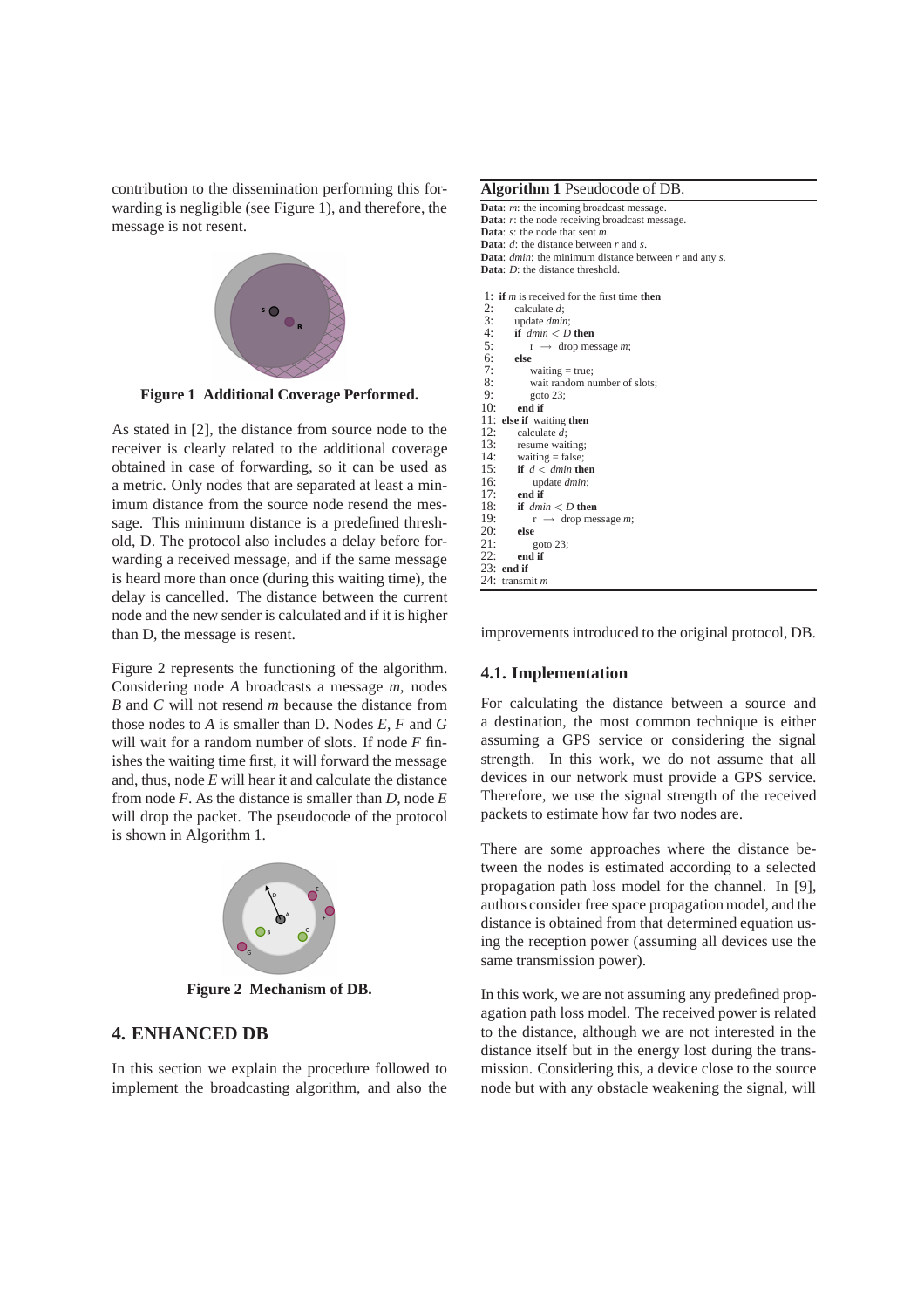contribution to the dissemination performing this forwarding is negligible (see Figure 1), and therefore, the message is not resent.



**Figure 1 Additional Coverage Performed.**

As stated in [2], the distance from source node to the receiver is clearly related to the additional coverage obtained in case of forwarding, so it can be used as a metric. Only nodes that are separated at least a minimum distance from the source node resend the message. This minimum distance is a predefined threshold, D. The protocol also includes a delay before forwarding a received message, and if the same message is heard more than once (during this waiting time), the delay is cancelled. The distance between the current node and the new sender is calculated and if it is higher than D, the message is resent.

Figure 2 represents the functioning of the algorithm. Considering node *A* broadcasts a message *m*, nodes *B* and *C* will not resend *m* because the distance from those nodes to *A* is smaller than D. Nodes *E*, *F* and *G* will wait for a random number of slots. If node *F* finishes the waiting time first, it will forward the message and, thus, node *E* will hear it and calculate the distance from node *F*. As the distance is smaller than *D*, node *E* will drop the packet. The pseudocode of the protocol is shown in Algorithm 1.



**Figure 2 Mechanism of DB.**

## **4. ENHANCED DB**

In this section we explain the procedure followed to implement the broadcasting algorithm, and also the

| Algorithm 1 Pseudocode of DB.                                     |
|-------------------------------------------------------------------|
| <b>Data:</b> $m$ : the incoming broadcast message.                |
| <b>Data:</b> $r$ : the node receiving broadcast message.          |
| <b>Data:</b> $s$ : the node that sent $m$ .                       |
| <b>Data:</b> $d$ : the distance between $r$ and $s$ .             |
| <b>Data:</b> dmin: the minimum distance between $r$ and any $s$ . |
| <b>Data:</b> D: the distance threshold.                           |
| 1: if <i>m</i> is received for the first time <b>then</b>         |
| 2:<br>calculate $d$ ;                                             |
| 3:<br>update <i>dmin</i> ;                                        |
| 4:<br>if $dmin < D$ then                                          |
| 5:<br>$r \rightarrow$ drop message <i>m</i> ;                     |
| $6:$ else                                                         |
| 7:<br>waiting $=$ true;                                           |
| 8:<br>wait random number of slots;                                |
| 9:<br>goto $23$ :                                                 |
| 10:<br>end if                                                     |
| 11:<br>else if waiting then                                       |
| 12:<br>calculate $d$ :                                            |
| 13:<br>resume waiting;                                            |
| 14:<br>waiting $=$ false;                                         |
| 15:<br>if $d <$ dmin then                                         |
| 16:<br>update <i>dmin</i> ;                                       |
| 17:<br>end if                                                     |
| 18: if $dmin < D$ then                                            |
| 19:<br>$r \rightarrow$ drop message <i>m</i> ;                    |
| 20:<br>else                                                       |
| 21:<br>goto $23$ ;                                                |
| 22:<br>end if                                                     |
| $23:$ end if                                                      |
| 24: transmit m                                                    |
|                                                                   |

improvements introduced to the original protocol, DB.

#### **4.1. Implementation**

For calculating the distance between a source and a destination, the most common technique is either assuming a GPS service or considering the signal strength. In this work, we do not assume that all devices in our network must provide a GPS service. Therefore, we use the signal strength of the received packets to estimate how far two nodes are.

There are some approaches where the distance between the nodes is estimated according to a selected propagation path loss model for the channel. In [9], authors consider free space propagation model, and the distance is obtained from that determined equation using the reception power (assuming all devices use the same transmission power).

In this work, we are not assuming any predefined propagation path loss model. The received power is related to the distance, although we are not interested in the distance itself but in the energy lost during the transmission. Considering this, a device close to the source node but with any obstacle weakening the signal, will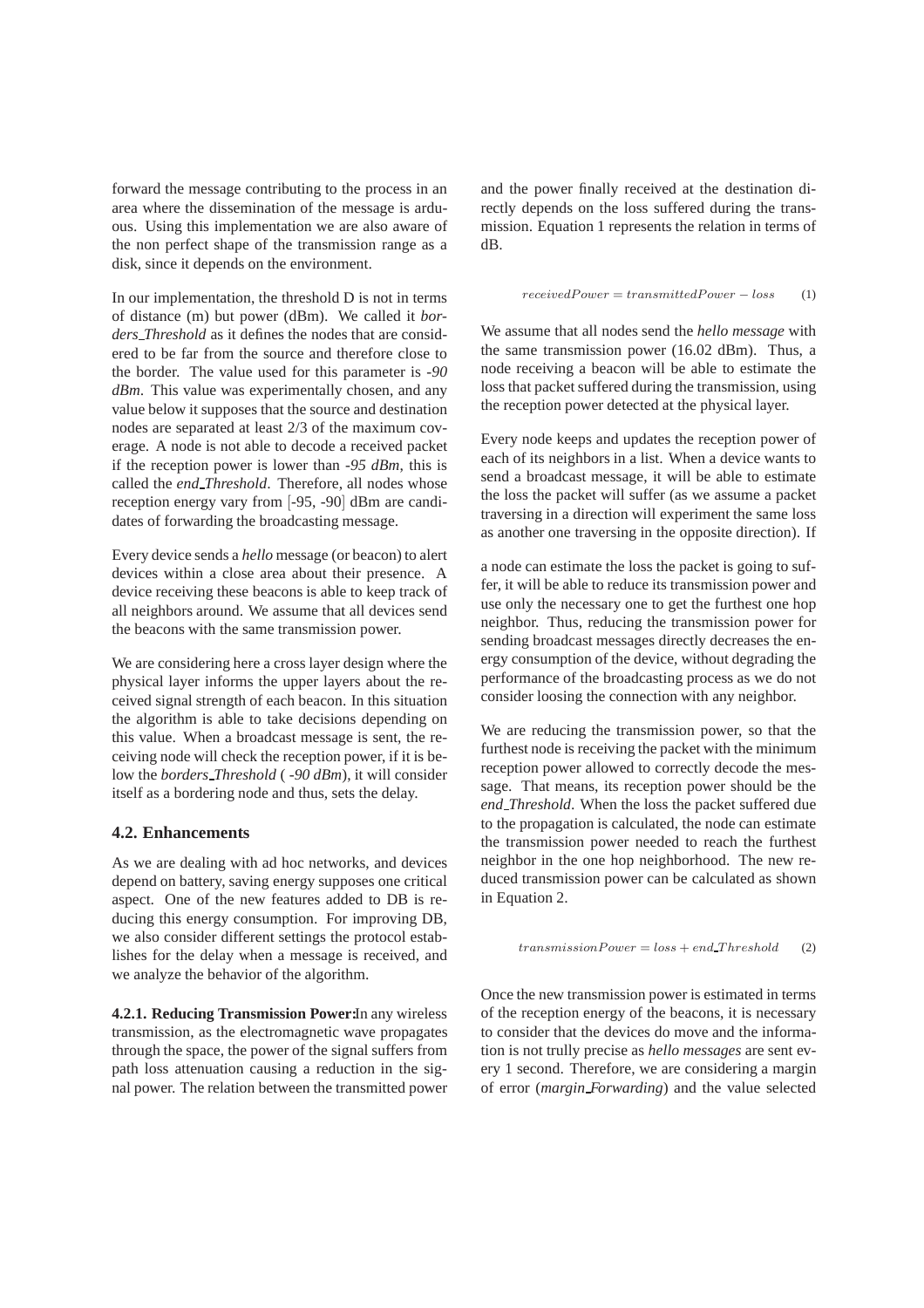forward the message contributing to the process in an area where the dissemination of the message is arduous. Using this implementation we are also aware of the non perfect shape of the transmission range as a disk, since it depends on the environment.

In our implementation, the threshold D is not in terms of distance (m) but power (dBm). We called it *borders Threshold* as it defines the nodes that are considered to be far from the source and therefore close to the border. The value used for this parameter is *-90 dBm*. This value was experimentally chosen, and any value below it supposes that the source and destination nodes are separated at least 2/3 of the maximum coverage. A node is not able to decode a received packet if the reception power is lower than *-95 dBm*, this is called the *end Threshold*. Therefore, all nodes whose reception energy vary from [-95, -90] dBm are candidates of forwarding the broadcasting message.

Every device sends a *hello* message (or beacon) to alert devices within a close area about their presence. A device receiving these beacons is able to keep track of all neighbors around. We assume that all devices send the beacons with the same transmission power.

We are considering here a cross layer design where the physical layer informs the upper layers about the received signal strength of each beacon. In this situation the algorithm is able to take decisions depending on this value. When a broadcast message is sent, the receiving node will check the reception power, if it is below the *borders Threshold* ( *-90 dBm*), it will consider itself as a bordering node and thus, sets the delay.

#### **4.2. Enhancements**

As we are dealing with ad hoc networks, and devices depend on battery, saving energy supposes one critical aspect. One of the new features added to DB is reducing this energy consumption. For improving DB, we also consider different settings the protocol establishes for the delay when a message is received, and we analyze the behavior of the algorithm.

**4.2.1. Reducing Transmission Power:**In any wireless transmission, as the electromagnetic wave propagates through the space, the power of the signal suffers from path loss attenuation causing a reduction in the signal power. The relation between the transmitted power

and the power finally received at the destination directly depends on the loss suffered during the transmission. Equation 1 represents the relation in terms of dB.

$$
received Power = transmitted Power - loss \qquad (1)
$$

We assume that all nodes send the *hello message* with the same transmission power (16.02 dBm). Thus, a node receiving a beacon will be able to estimate the loss that packet suffered during the transmission, using the reception power detected at the physical layer.

Every node keeps and updates the reception power of each of its neighbors in a list. When a device wants to send a broadcast message, it will be able to estimate the loss the packet will suffer (as we assume a packet traversing in a direction will experiment the same loss as another one traversing in the opposite direction). If

a node can estimate the loss the packet is going to suffer, it will be able to reduce its transmission power and use only the necessary one to get the furthest one hop neighbor. Thus, reducing the transmission power for sending broadcast messages directly decreases the energy consumption of the device, without degrading the performance of the broadcasting process as we do not consider loosing the connection with any neighbor.

We are reducing the transmission power, so that the furthest node is receiving the packet with the minimum reception power allowed to correctly decode the message. That means, its reception power should be the *end Threshold*. When the loss the packet suffered due to the propagation is calculated, the node can estimate the transmission power needed to reach the furthest neighbor in the one hop neighborhood. The new reduced transmission power can be calculated as shown in Equation 2.

$$
transmissionPower = loss + end\_Threshold
$$
 (2)

Once the new transmission power is estimated in terms of the reception energy of the beacons, it is necessary to consider that the devices do move and the information is not trully precise as *hello messages* are sent every 1 second. Therefore, we are considering a margin of error (*margin Forwarding*) and the value selected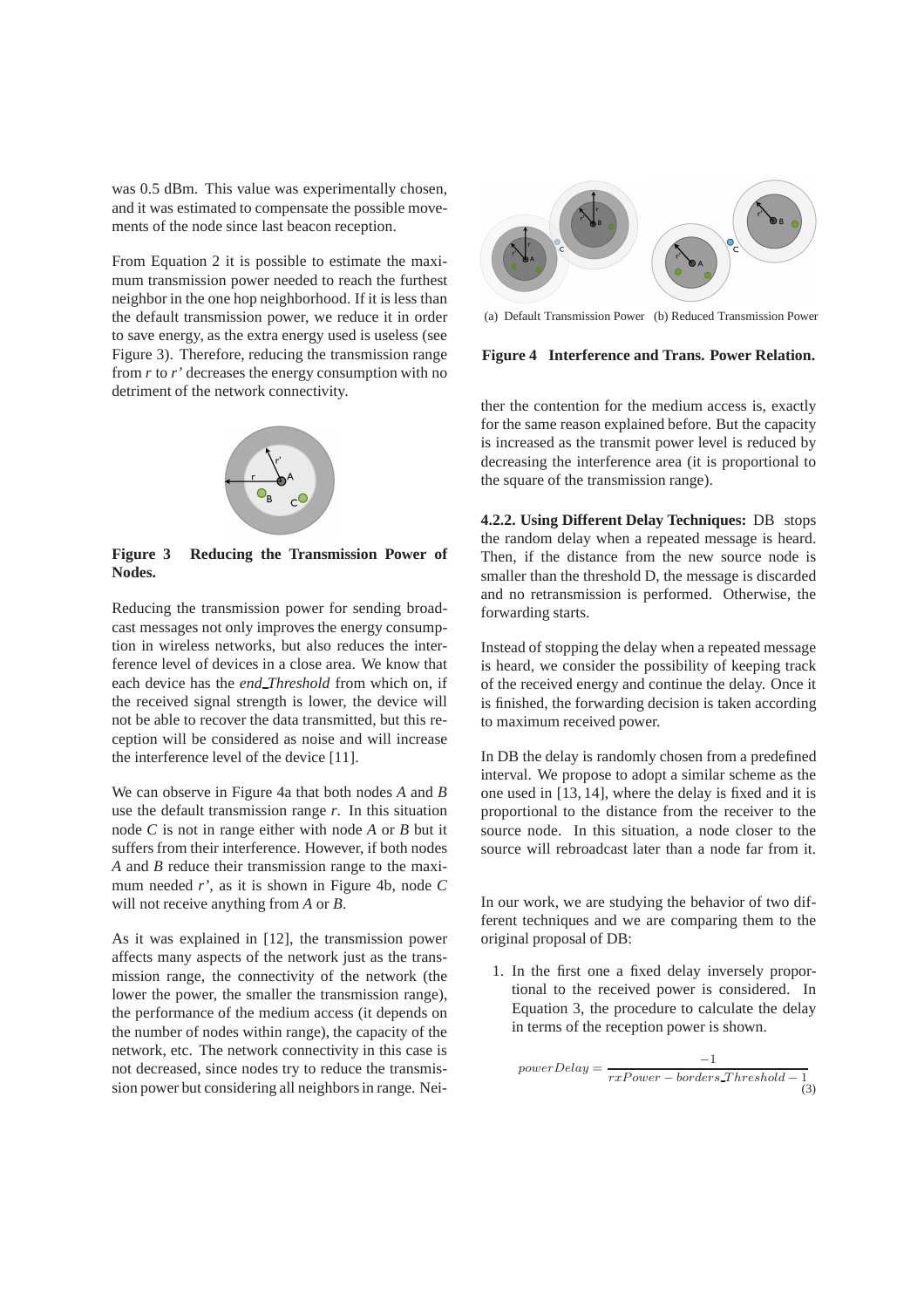was 0.5 dBm. This value was experimentally chosen, and it was estimated to compensate the possible movements of the node since last beacon reception.

From Equation 2 it is possible to estimate the maximum transmission power needed to reach the furthest neighbor in the one hop neighborhood. If it is less than the default transmission power, we reduce it in order to save energy, as the extra energy used is useless (see Figure 3). Therefore, reducing the transmission range from *r* to *r'* decreases the energy consumption with no detriment of the network connectivity.



**Figure 3 Reducing the Transmission Power of Nodes.**

Reducing the transmission power for sending broadcast messages not only improves the energy consumption in wireless networks, but also reduces the interference level of devices in a close area. We know that each device has the *end Threshold* from which on, if the received signal strength is lower, the device will not be able to recover the data transmitted, but this reception will be considered as noise and will increase the interference level of the device [11].

We can observe in Figure 4a that both nodes *A* and *B* use the default transmission range *r*. In this situation node *C* is not in range either with node *A* or *B* but it suffers from their interference. However, if both nodes *A* and *B* reduce their transmission range to the maximum needed *r'*, as it is shown in Figure 4b, node *C* will not receive anything from *A* or *B*.

As it was explained in [12], the transmission power affects many aspects of the network just as the transmission range, the connectivity of the network (the lower the power, the smaller the transmission range), the performance of the medium access (it depends on the number of nodes within range), the capacity of the network, etc. The network connectivity in this case is not decreased, since nodes try to reduce the transmission power but considering all neighbors in range. Nei-



(a) Default Transmission Power (b) Reduced Transmission Power



ther the contention for the medium access is, exactly for the same reason explained before. But the capacity is increased as the transmit power level is reduced by decreasing the interference area (it is proportional to the square of the transmission range).

**4.2.2. Using Different Delay Techniques:** DB stops the random delay when a repeated message is heard. Then, if the distance from the new source node is smaller than the threshold D, the message is discarded and no retransmission is performed. Otherwise, the forwarding starts.

Instead of stopping the delay when a repeated message is heard, we consider the possibility of keeping track of the received energy and continue the delay. Once it is finished, the forwarding decision is taken according to maximum received power.

In DB the delay is randomly chosen from a predefined interval. We propose to adopt a similar scheme as the one used in [13, 14], where the delay is fixed and it is proportional to the distance from the receiver to the source node. In this situation, a node closer to the source will rebroadcast later than a node far from it.

In our work, we are studying the behavior of two different techniques and we are comparing them to the original proposal of DB:

1. In the first one a fixed delay inversely proportional to the received power is considered. In Equation 3, the procedure to calculate the delay in terms of the reception power is shown.

$$
powerDelay = \frac{-1}{rxPower - borders\_Threshold - 1}
$$
\n(3)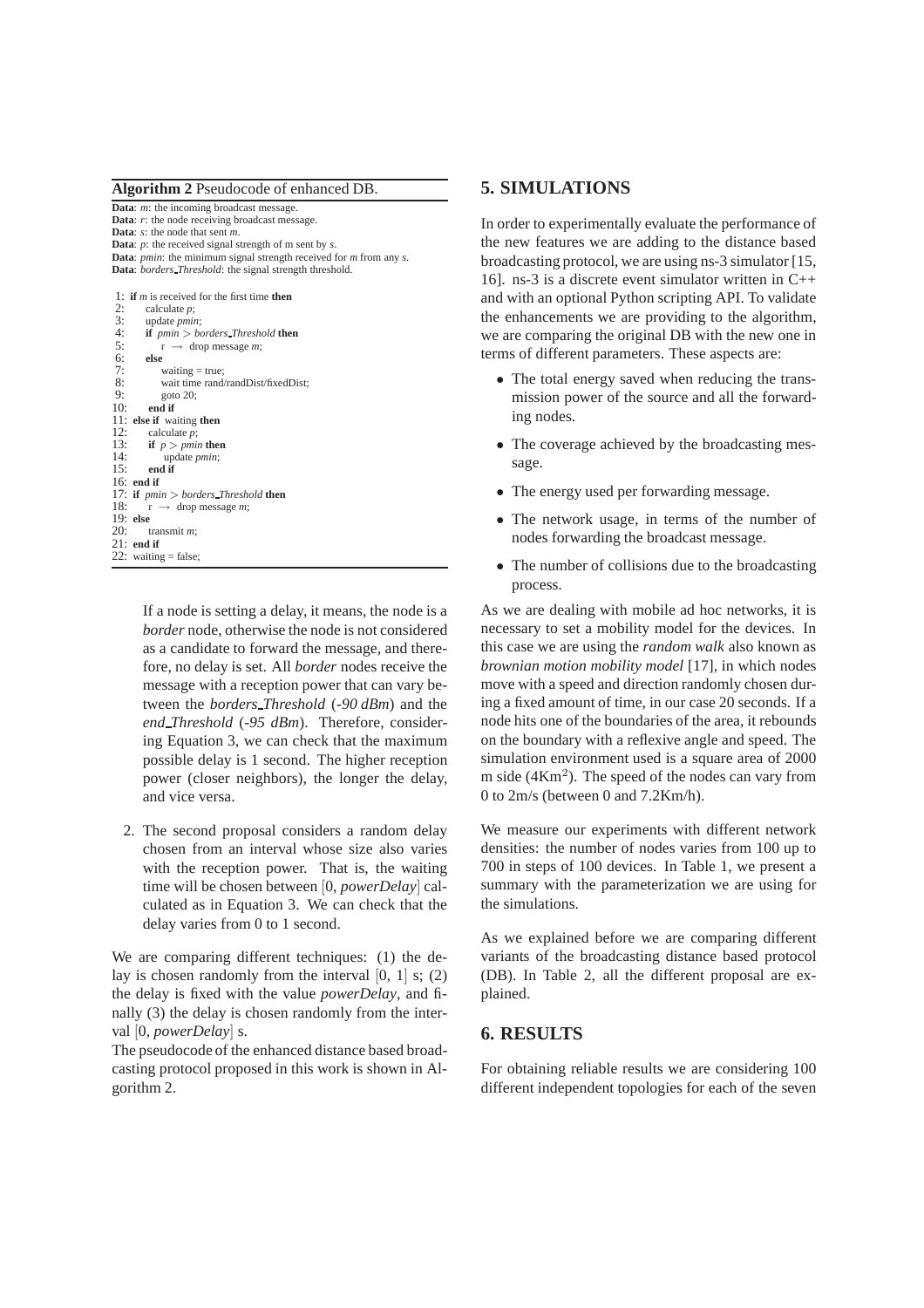**Algorithm 2** Pseudocode of enhanced DB.

**Data**: *m*: the incoming broadcast message. **Data**: *r*: the node receiving broadcast message. **Data**: *s*: the node that sent *m*. **Data**: *p*: the received signal strength of m sent by *s*. **Data**: *pmin*: the minimum signal strength received for *m* from any *s*. **Data**: *borders Threshold*: the signal strength threshold.

|     | 1: if $m$ is received for the first time then    |
|-----|--------------------------------------------------|
| 2:  | calculate $p$ ;                                  |
| 3:  | update <i>pmin</i> ;                             |
| 4:  | <b>if</b> $pmin > borders$ Threshold <b>then</b> |
| 5:  | $r \rightarrow$ drop message <i>m</i> ;          |
| 6:  | else                                             |
| 7:  | waiting $=$ true;                                |
| 8:  | wait time rand/randDist/fixedDist;               |
| 9:  | goto $20$ ;                                      |
| 10: | end if                                           |
|     | 11: else if waiting then                         |
| 12: | calculate $p$ ;                                  |
| 13: | if $p > pmin$ then                               |
| 14: | update <i>pmin</i> ;                             |
| 15: | end if                                           |
|     | $16:$ end if                                     |
|     | 17: if $pmin > borders$ Threshold then           |
|     | 18:<br>$r \rightarrow$ drop message <i>m</i> ;   |
|     | $19:$ else                                       |
| 20: | transmit $m$ ;                                   |
|     | $21:$ end if                                     |
|     | 22: waiting = false;                             |

If a node is setting a delay, it means, the node is a *border* node, otherwise the node is not considered as a candidate to forward the message, and therefore, no delay is set. All *border* nodes receive the message with a reception power that can vary between the *borders Threshold* (*-90 dBm*) and the *end Threshold* (*-95 dBm*). Therefore, considering Equation 3, we can check that the maximum possible delay is 1 second. The higher reception power (closer neighbors), the longer the delay, and vice versa.

2. The second proposal considers a random delay chosen from an interval whose size also varies with the reception power. That is, the waiting time will be chosen between [0, *powerDelay*] calculated as in Equation 3. We can check that the delay varies from 0 to 1 second.

We are comparing different techniques: (1) the delay is chosen randomly from the interval  $[0, 1]$  s; (2) the delay is fixed with the value *powerDelay*, and finally (3) the delay is chosen randomly from the interval [0, *powerDelay*] s.

The pseudocode of the enhanced distance based broadcasting protocol proposed in this work is shown in Algorithm 2.

# **5. SIMULATIONS**

In order to experimentally evaluate the performance of the new features we are adding to the distance based broadcasting protocol, we are using ns-3 simulator [15, 16]. ns-3 is a discrete event simulator written in C++ and with an optional Python scripting API. To validate the enhancements we are providing to the algorithm, we are comparing the original DB with the new one in terms of different parameters. These aspects are:

- The total energy saved when reducing the transmission power of the source and all the forwarding nodes.
- The coverage achieved by the broadcasting message.
- The energy used per forwarding message.
- The network usage, in terms of the number of nodes forwarding the broadcast message.
- The number of collisions due to the broadcasting process.

As we are dealing with mobile ad hoc networks, it is necessary to set a mobility model for the devices. In this case we are using the *random walk* also known as *brownian motion mobility model* [17], in which nodes move with a speed and direction randomly chosen during a fixed amount of time, in our case 20 seconds. If a node hits one of the boundaries of the area, it rebounds on the boundary with a reflexive angle and speed. The simulation environment used is a square area of 2000 m side  $(4 \text{Km}^2)$ . The speed of the nodes can vary from 0 to 2m/s (between 0 and 7.2Km/h).

We measure our experiments with different network densities: the number of nodes varies from 100 up to 700 in steps of 100 devices. In Table 1, we present a summary with the parameterization we are using for the simulations.

As we explained before we are comparing different variants of the broadcasting distance based protocol (DB). In Table 2, all the different proposal are explained.

#### **6. RESULTS**

For obtaining reliable results we are considering 100 different independent topologies for each of the seven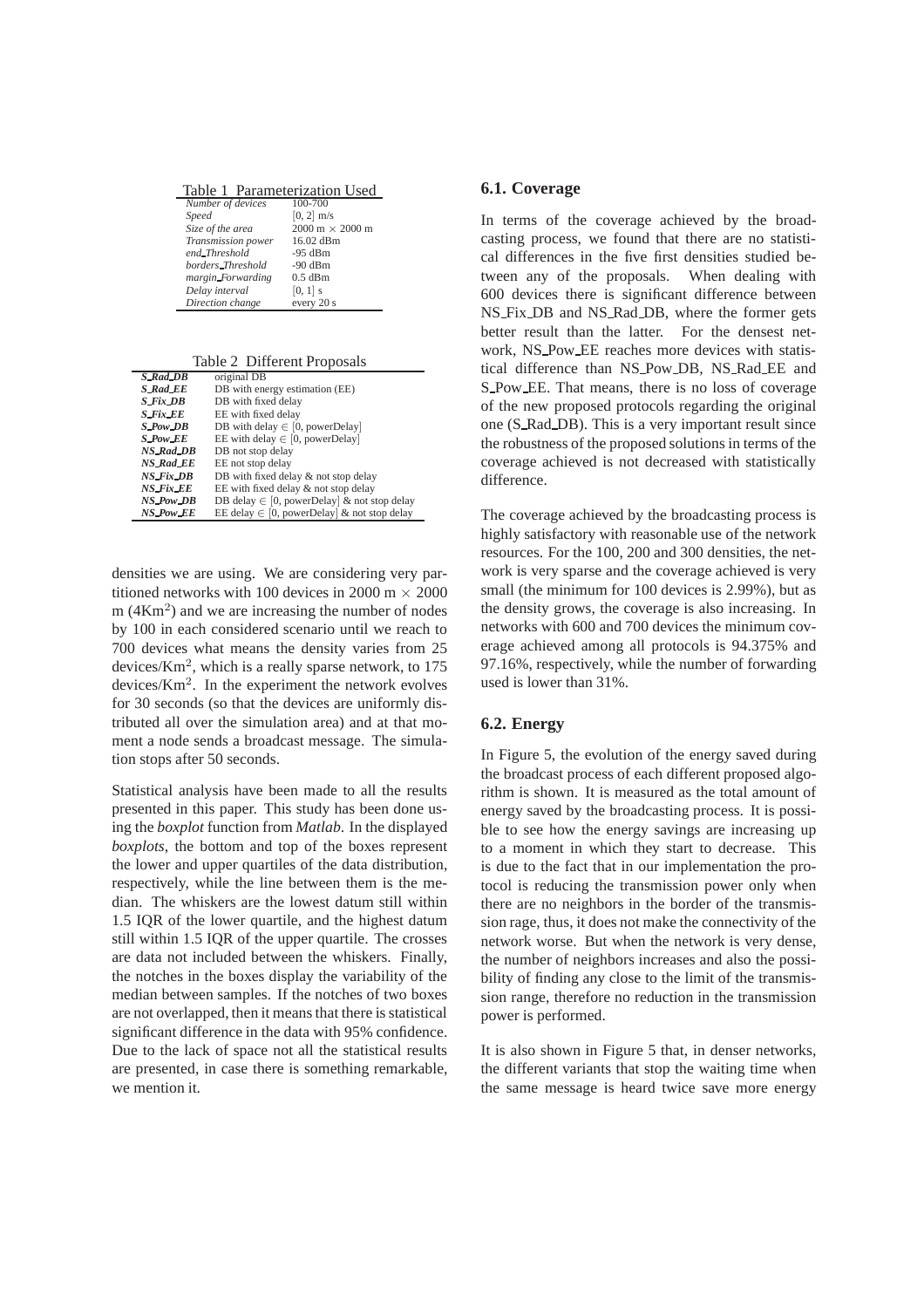|  |  | Table 1 Parameterization Used |  |
|--|--|-------------------------------|--|
|--|--|-------------------------------|--|

| Number of devices  | 100-700                                |
|--------------------|----------------------------------------|
| Speed              | $[0, 2]$ m/s                           |
| Size of the area   | $2000 \text{ m} \times 2000 \text{ m}$ |
| Transmission power | 16.02 dBm                              |
| end_Threshold      | $-95$ dBm                              |
| borders_Threshold  | $-90$ dBm                              |
| margin_Forwarding  | $0.5$ dBm                              |
| Delay interval     | $[0, 1]$ s                             |
| Direction change   | every 20 s                             |

Table 2 Different Proposals

| <b>S_Rad_DB</b>  | original DB                                     |
|------------------|-------------------------------------------------|
| S_Rad_EE         | DB with energy estimation (EE)                  |
| $S$ Fix $DB$     | DB with fixed delay                             |
| <b>S</b> Fix EE  | EE with fixed delay                             |
| $S_PowDB$        | DB with delay $\in$ [0, powerDelay]             |
| $S_Pow_E$        | EE with delay $\in$ [0, powerDelay]             |
| <b>NS_Rad_DB</b> | DB not stop delay                               |
| <b>NS_Rad_EE</b> | EE not stop delay                               |
| <b>NS_Fix_DB</b> | DB with fixed delay & not stop delay            |
| NS_Fix_EE        | EE with fixed delay & not stop delay            |
| NS_Pow_DB        | DB delay $\in$ [0, powerDelay] & not stop delay |
| NS_Pow_EE        | EE delay $\in$ [0, powerDelay] & not stop delay |

densities we are using. We are considering very partitioned networks with 100 devices in 2000 m  $\times$  2000 m  $(4 \text{Km}^2)$  and we are increasing the number of nodes by 100 in each considered scenario until we reach to 700 devices what means the density varies from 25 devices/ $Km<sup>2</sup>$ , which is a really sparse network, to 175 devices/ $Km<sup>2</sup>$ . In the experiment the network evolves for 30 seconds (so that the devices are uniformly distributed all over the simulation area) and at that moment a node sends a broadcast message. The simulation stops after 50 seconds.

Statistical analysis have been made to all the results presented in this paper. This study has been done using the *boxplot* function from *Matlab*. In the displayed *boxplots*, the bottom and top of the boxes represent the lower and upper quartiles of the data distribution, respectively, while the line between them is the median. The whiskers are the lowest datum still within 1.5 IQR of the lower quartile, and the highest datum still within 1.5 IQR of the upper quartile. The crosses are data not included between the whiskers. Finally, the notches in the boxes display the variability of the median between samples. If the notches of two boxes are not overlapped, then it means that there is statistical significant difference in the data with 95% confidence. Due to the lack of space not all the statistical results are presented, in case there is something remarkable, we mention it.

#### **6.1. Coverage**

In terms of the coverage achieved by the broadcasting process, we found that there are no statistical differences in the five first densities studied between any of the proposals. When dealing with 600 devices there is significant difference between NS Fix DB and NS Rad DB, where the former gets better result than the latter. For the densest network, NS Pow EE reaches more devices with statistical difference than NS Pow DB, NS Rad EE and S Pow EE. That means, there is no loss of coverage of the new proposed protocols regarding the original one (S\_Rad\_DB). This is a very important result since the robustness of the proposed solutions in terms of the coverage achieved is not decreased with statistically difference.

The coverage achieved by the broadcasting process is highly satisfactory with reasonable use of the network resources. For the 100, 200 and 300 densities, the network is very sparse and the coverage achieved is very small (the minimum for 100 devices is 2.99%), but as the density grows, the coverage is also increasing. In networks with 600 and 700 devices the minimum coverage achieved among all protocols is 94.375% and 97.16%, respectively, while the number of forwarding used is lower than 31%.

## **6.2. Energy**

In Figure 5, the evolution of the energy saved during the broadcast process of each different proposed algorithm is shown. It is measured as the total amount of energy saved by the broadcasting process. It is possible to see how the energy savings are increasing up to a moment in which they start to decrease. This is due to the fact that in our implementation the protocol is reducing the transmission power only when there are no neighbors in the border of the transmission rage, thus, it does not make the connectivity of the network worse. But when the network is very dense, the number of neighbors increases and also the possibility of finding any close to the limit of the transmission range, therefore no reduction in the transmission power is performed.

It is also shown in Figure 5 that, in denser networks, the different variants that stop the waiting time when the same message is heard twice save more energy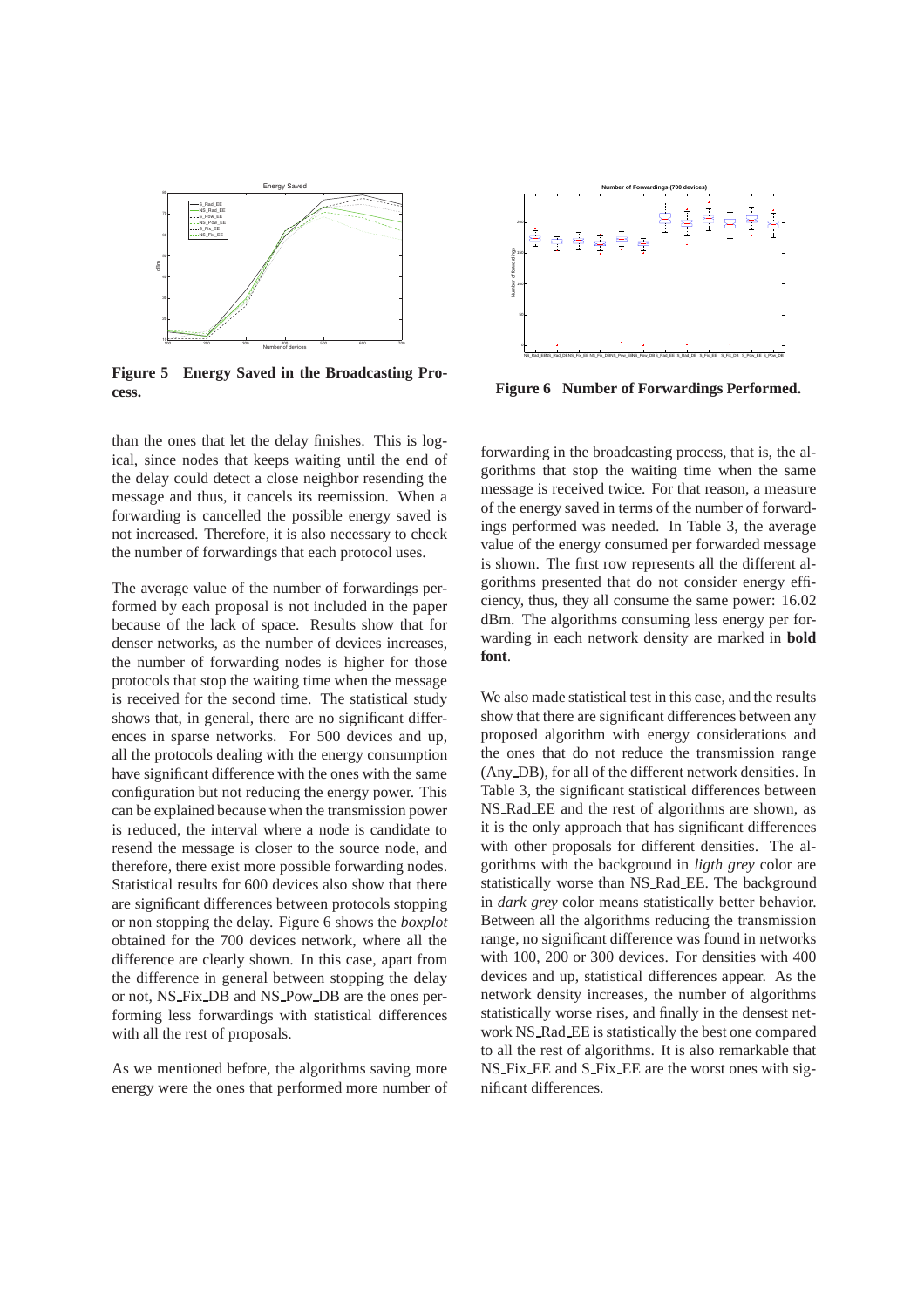

**Figure 5 Energy Saved in the Broadcasting Process.**

than the ones that let the delay finishes. This is logical, since nodes that keeps waiting until the end of the delay could detect a close neighbor resending the message and thus, it cancels its reemission. When a forwarding is cancelled the possible energy saved is not increased. Therefore, it is also necessary to check the number of forwardings that each protocol uses.

The average value of the number of forwardings performed by each proposal is not included in the paper because of the lack of space. Results show that for denser networks, as the number of devices increases, the number of forwarding nodes is higher for those protocols that stop the waiting time when the message is received for the second time. The statistical study shows that, in general, there are no significant differences in sparse networks. For 500 devices and up, all the protocols dealing with the energy consumption have significant difference with the ones with the same configuration but not reducing the energy power. This can be explained because when the transmission power is reduced, the interval where a node is candidate to resend the message is closer to the source node, and therefore, there exist more possible forwarding nodes. Statistical results for 600 devices also show that there are significant differences between protocols stopping or non stopping the delay. Figure 6 shows the *boxplot* obtained for the 700 devices network, where all the difference are clearly shown. In this case, apart from the difference in general between stopping the delay or not, NS Fix DB and NS Pow DB are the ones performing less forwardings with statistical differences with all the rest of proposals.

As we mentioned before, the algorithms saving more energy were the ones that performed more number of



**Figure 6 Number of Forwardings Performed.**

forwarding in the broadcasting process, that is, the algorithms that stop the waiting time when the same message is received twice. For that reason, a measure of the energy saved in terms of the number of forwardings performed was needed. In Table 3, the average value of the energy consumed per forwarded message is shown. The first row represents all the different algorithms presented that do not consider energy efficiency, thus, they all consume the same power: 16.02 dBm. The algorithms consuming less energy per forwarding in each network density are marked in **bold font**.

We also made statistical test in this case, and the results show that there are significant differences between any proposed algorithm with energy considerations and the ones that do not reduce the transmission range (Any DB), for all of the different network densities. In Table 3, the significant statistical differences between NS Rad EE and the rest of algorithms are shown, as it is the only approach that has significant differences with other proposals for different densities. The algorithms with the background in *ligth grey* color are statistically worse than NS Rad EE. The background in *dark grey* color means statistically better behavior. Between all the algorithms reducing the transmission range, no significant difference was found in networks with 100, 200 or 300 devices. For densities with 400 devices and up, statistical differences appear. As the network density increases, the number of algorithms statistically worse rises, and finally in the densest network NS Rad EE is statistically the best one compared to all the rest of algorithms. It is also remarkable that NS Fix EE and S Fix EE are the worst ones with significant differences.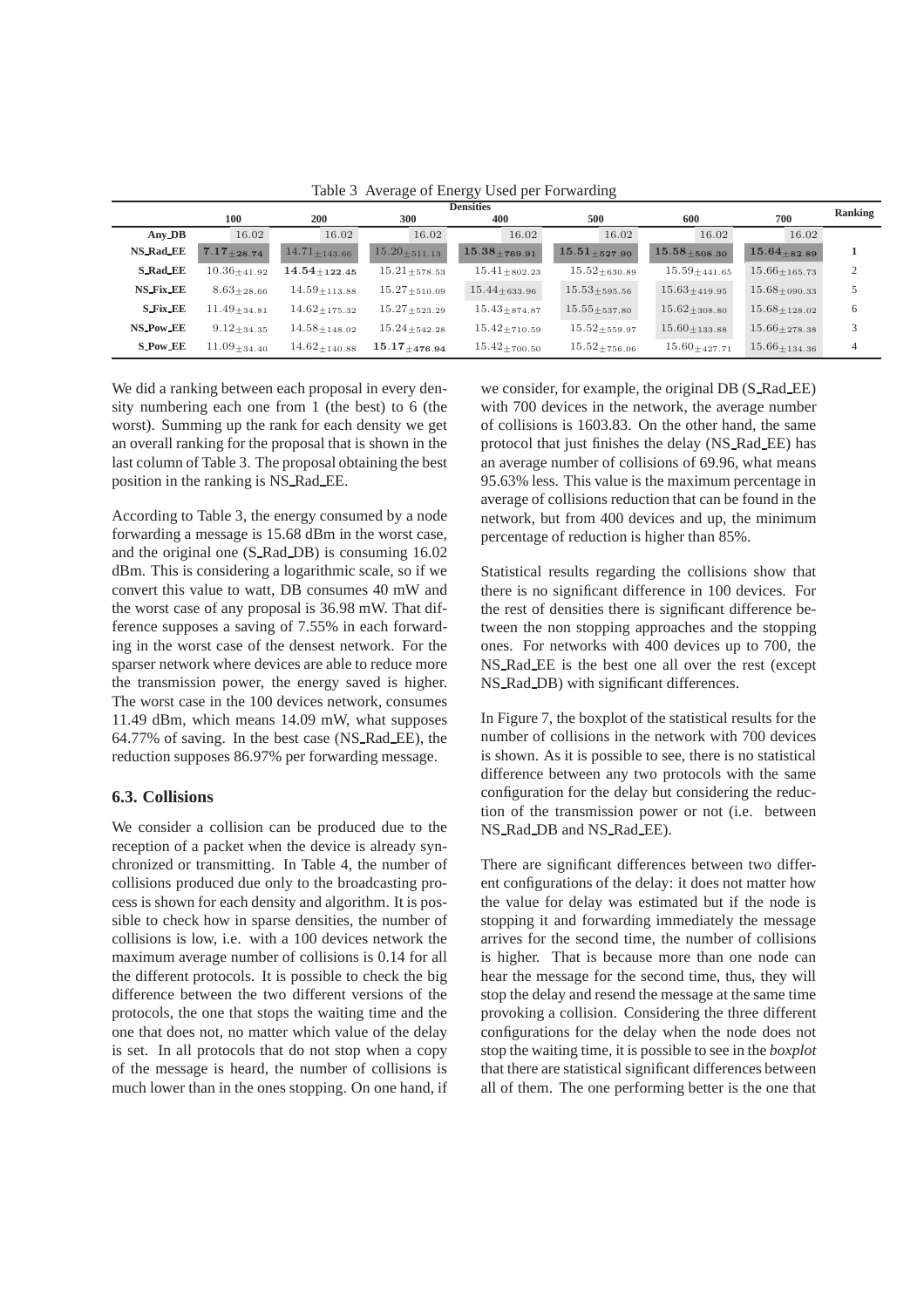| <b>Densities</b> |                     |                      |                      |                      |                      |                                |                                | Ranking  |
|------------------|---------------------|----------------------|----------------------|----------------------|----------------------|--------------------------------|--------------------------------|----------|
|                  | 100                 | 200                  | 300                  | 400                  | 500                  | 600                            | 700                            |          |
| Any DB           | 16.02               | 16.02                | 16.02                | 16.02                | 16.02                | 16.02                          | 16.02                          |          |
| <b>NS_Rad_EE</b> | $7.17_{\pm 28.74}$  | $14.71 \pm 143.66$   | $15.20 \pm 511.13$   | $15.38 + 769.91$     | $15.51_{\pm 527.90}$ | $15.58{\scriptstyle\pm508.30}$ | $15.64 + 82.89$                |          |
| <b>S_Rad_EE</b>  | $10.36_{\pm 41.92}$ | $14.54_{\pm 122.45}$ | $15.21_{\pm 578.53}$ | $15.41_{\pm 802.23}$ | $15.52_{\pm 630.89}$ | $15.59_{\pm 441.65}$           | $15.66 \pm 165.73$             | $\gamma$ |
| <b>NS_Fix_EE</b> | $8.63 + 28.66$      | $14.59 + 113.88$     | $15.27_{\pm 510.09}$ | $15.44{\pm}633.96$   | $15.53 + 595.56$     | $15.63 + 419.95$               | $15.68 \pm 090.33$             |          |
| <b>S_Fix_EE</b>  | $11.49_{+34.81}$    | $14.62_{+175.32}$    | $15.27_{\pm 523.29}$ | $15.43_{\pm 874.87}$ | $15.55_{\pm 537.80}$ | $15.62_{\pm 308.80}$           | $15.68_{\pm 128.02}$           | 6        |
| NS_Pow_EE        | $9.12_{+34.35}$     | $14.58_{\pm 148.02}$ | $15.24_{\pm 542.28}$ | $15.42_{\pm 710.59}$ | $15.52_{+559.97}$    | $15.60_{\pm 133.88}$           | $15.66_{\pm 278.38}$           | 3        |
| <b>S_Pow_EE</b>  | $11.09{\pm}34.40$   | $14.62 + 140.88$     | $15.17_{+476.94}$    | $15.42_{\pm 700.50}$ | $15.52_{\pm 756.06}$ | $15.60_{\pm 427.71}$           | $15.66{\scriptstyle\pm134.36}$ | 4        |

Table 3 Average of Energy Used per Forwarding

We did a ranking between each proposal in every density numbering each one from 1 (the best) to 6 (the worst). Summing up the rank for each density we get an overall ranking for the proposal that is shown in the last column of Table 3. The proposal obtaining the best position in the ranking is NS Rad EE.

According to Table 3, the energy consumed by a node forwarding a message is 15.68 dBm in the worst case, and the original one (S Rad DB) is consuming 16.02 dBm. This is considering a logarithmic scale, so if we convert this value to watt, DB consumes 40 mW and the worst case of any proposal is 36.98 mW. That difference supposes a saving of 7.55% in each forwarding in the worst case of the densest network. For the sparser network where devices are able to reduce more the transmission power, the energy saved is higher. The worst case in the 100 devices network, consumes 11.49 dBm, which means 14.09 mW, what supposes 64.77% of saving. In the best case (NS Rad EE), the reduction supposes 86.97% per forwarding message.

## **6.3. Collisions**

We consider a collision can be produced due to the reception of a packet when the device is already synchronized or transmitting. In Table 4, the number of collisions produced due only to the broadcasting process is shown for each density and algorithm. It is possible to check how in sparse densities, the number of collisions is low, i.e. with a 100 devices network the maximum average number of collisions is 0.14 for all the different protocols. It is possible to check the big difference between the two different versions of the protocols, the one that stops the waiting time and the one that does not, no matter which value of the delay is set. In all protocols that do not stop when a copy of the message is heard, the number of collisions is much lower than in the ones stopping. On one hand, if we consider, for example, the original DB (S Rad EE) with 700 devices in the network, the average number of collisions is 1603.83. On the other hand, the same protocol that just finishes the delay (NS Rad EE) has an average number of collisions of 69.96, what means 95.63% less. This value is the maximum percentage in average of collisions reduction that can be found in the network, but from 400 devices and up, the minimum percentage of reduction is higher than 85%.

Statistical results regarding the collisions show that there is no significant difference in 100 devices. For the rest of densities there is significant difference between the non stopping approaches and the stopping ones. For networks with 400 devices up to 700, the NS Rad EE is the best one all over the rest (except NS Rad DB) with significant differences.

In Figure 7, the boxplot of the statistical results for the number of collisions in the network with 700 devices is shown. As it is possible to see, there is no statistical difference between any two protocols with the same configuration for the delay but considering the reduction of the transmission power or not (i.e. between NS Rad DB and NS Rad EE).

There are significant differences between two different configurations of the delay: it does not matter how the value for delay was estimated but if the node is stopping it and forwarding immediately the message arrives for the second time, the number of collisions is higher. That is because more than one node can hear the message for the second time, thus, they will stop the delay and resend the message at the same time provoking a collision. Considering the three different configurations for the delay when the node does not stop the waiting time, it is possible to see in the *boxplot* that there are statistical significant differences between all of them. The one performing better is the one that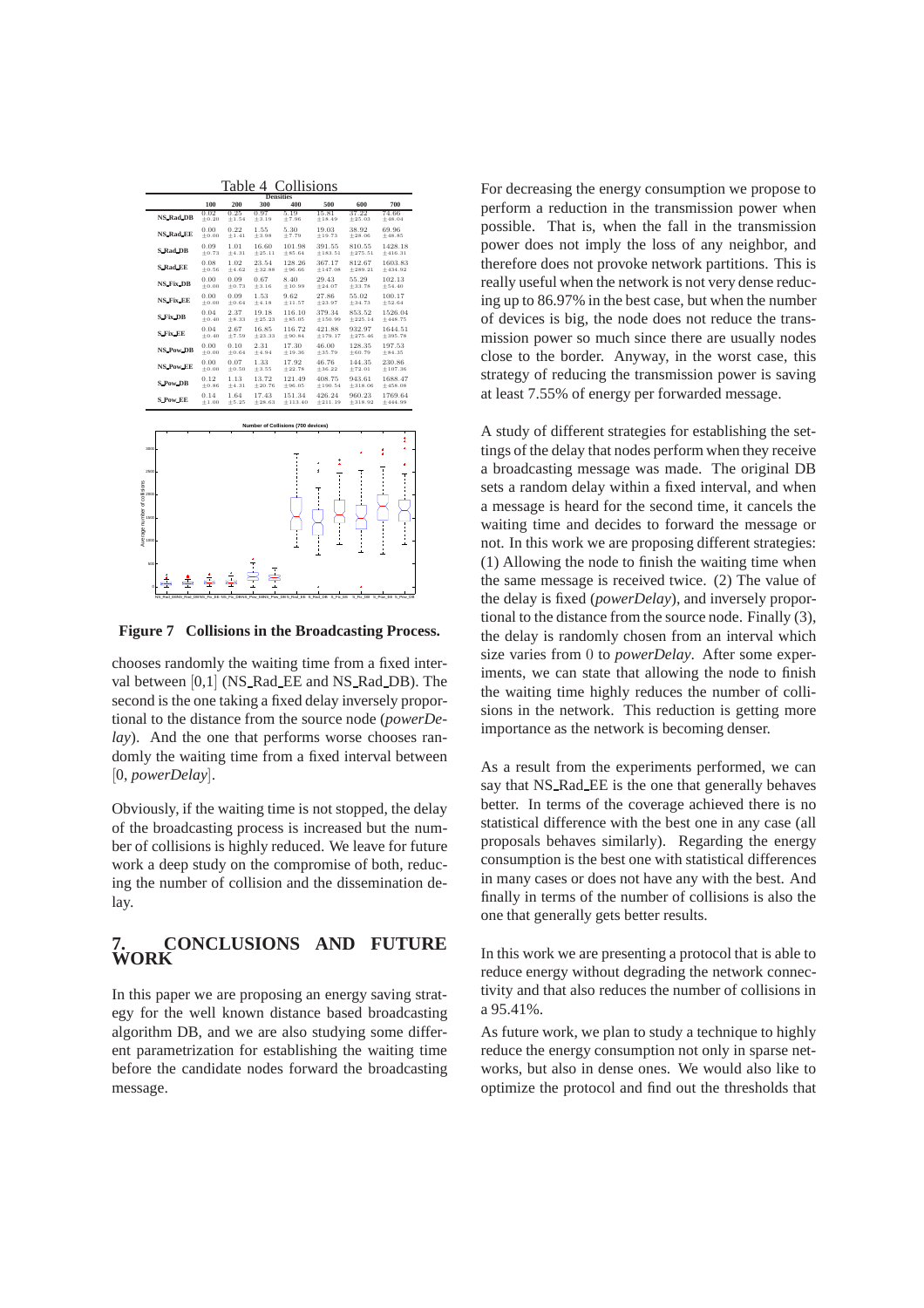Table 4 Collisions

|                                      | <b>Densities</b>                |                 |                 |                                            |                    |                            |                     |                          |
|--------------------------------------|---------------------------------|-----------------|-----------------|--------------------------------------------|--------------------|----------------------------|---------------------|--------------------------|
|                                      |                                 | 100             | 200             | 300                                        | 400                | 500                        | 600                 | 700                      |
|                                      | <b>NS Rad DB</b>                | 0.02<br>± 0.20  | 0.25<br>±1.54   | 0.97<br>± 3.19                             | 5.19<br>±7.96      | 15.81<br>±18.49            | 37.22<br>± 25.03    | 74.66<br>±48.04          |
|                                      | <b>NS_Rad_EE</b>                | 0.00<br>± 0.00  | 0.22<br>±1.41   | 1.55<br>± 3.98                             | 5.30<br>±7.79      | 19.03<br>±19.73            | 38.92<br>± 28.06    | 69.96<br>±48.85          |
|                                      | S_Rad_DB                        | 0.09<br>$+0.73$ | 1.01<br>$+4.31$ | 16.60<br>$+25.11$                          | 101.98<br>$+85.64$ | 391.55<br>±183.51          | 810.55<br>$+275.51$ | 1428.18<br>$+416.31$     |
|                                      | <b>S_Rad_EE</b>                 | 0.08<br>$+0.56$ | 1.02<br>$+4.62$ | 23.54<br>$+32.88$                          | 128.26<br>$+96.66$ | 367.17<br>$+147.08$        | 812.67<br>$+289.21$ | 1603.83<br>$+434.92$     |
|                                      | NS_Fix_DB                       | 0.00<br>$+0.00$ | 0.09<br>± 0.73  | 0.67<br>± 3.16                             | 8.40<br>$+10.99$   | 29.43<br>±24.07            | 55.29<br>± 33.78    | 102.13<br>$+54.40$       |
|                                      | NS_Fix_EE                       | 0.00<br>± 0.00  | 0.09<br>$+0.64$ | 1.53<br>$+4.18$                            | 9.62<br>$+11.57$   | 27.86<br>$+23.97$          | 55.02<br>$+34.73$   | 100.17<br>$+52.64$       |
|                                      | <b>S_Fix_DB</b>                 | 0.04<br>± 0.40  | 2.37<br>± 8.33  | 19.18<br>± 25.23                           | 116.10<br>±85.05   | 379.34<br>±150.99          | 853.52<br>±225.14   | 1526.04<br>±448.75       |
|                                      | <b>S.Fix.EE</b>                 | 0.04<br>$+0.40$ | 2.67<br>$+7.59$ | 16.85<br>$+23.33$                          | 116.72<br>$+90.84$ | 421.88<br>$+179.17$        | 932.97<br>$+275.46$ | 1644.51<br>$+395.78$     |
|                                      | NS_Pow_DB                       | 0.00<br>± 0.00  | 0.10<br>± 0.64  | 2.31<br>±4.94                              | 17.30<br>±19.36    | 46.00<br>± 35.79           | 128.35<br>± 60.79   | 197.53<br>±84.35         |
|                                      | <b>NS_Pow_EE</b>                | 0.00<br>± 0.00  | 0.07<br>± 0.50  | 1.33<br>±3.55                              | 17.92<br>±22.78    | 46.76<br>± 36.22           | 144.35<br>±72.01    | 230.86<br>±107.36        |
|                                      | <b>S_Pow_DB</b>                 | 0.12<br>$+0.86$ | 1.13<br>$+4.31$ | 13.72<br>$+20.76$                          | 121.49<br>$+96.05$ | 408.75<br>$+190.54$        | 943.61<br>$+318.06$ | 1688.47<br>$+458.08$     |
|                                      | <b>S Pow EE</b>                 | 0.14<br>±1.00   | 1.64<br>± 5.25  | 17.43<br>± 28.63                           | 151.34<br>±113.40  | 426.24<br>±211.19          | 960.23<br>±318.92   | 1769.64<br>±444.99       |
| Number of Collisions (700 devices)   |                                 |                 |                 |                                            |                    |                            |                     |                          |
|                                      |                                 |                 |                 |                                            |                    |                            |                     | ŧ                        |
| 3000                                 |                                 |                 |                 |                                            |                    |                            |                     |                          |
| 2500                                 |                                 |                 |                 |                                            |                    | ŧ                          |                     |                          |
|                                      |                                 |                 |                 |                                            |                    | Ŧ                          |                     |                          |
| 2000                                 |                                 |                 |                 |                                            |                    |                            |                     |                          |
| Average number of collisions<br>1500 |                                 |                 |                 |                                            |                    |                            |                     |                          |
|                                      |                                 |                 |                 |                                            |                    | ٠                          |                     |                          |
| 1000                                 |                                 |                 |                 |                                            |                    | ٠<br>٠                     |                     |                          |
| 500                                  |                                 |                 |                 |                                            |                    |                            |                     |                          |
|                                      |                                 |                 | į               | $\bar{=}$                                  |                    |                            |                     |                          |
|                                      | <b>NS</b><br>Rad<br>EENS<br>Rad | DB NS           |                 | Fix EE NS Fix DBNS Pow EBNS Pow DBS Rad EE |                    | DB<br>S Fix<br>S Rad<br>EE | s<br>Fix<br>DB<br>s | S Pow<br>DB<br>Pow<br>EE |

**Figure 7 Collisions in the Broadcasting Process.**

chooses randomly the waiting time from a fixed interval between [0,1] (NS\_Rad\_EE and NS\_Rad\_DB). The second is the one taking a fixed delay inversely proportional to the distance from the source node (*powerDelay*). And the one that performs worse chooses randomly the waiting time from a fixed interval between [0, *powerDelay*].

Obviously, if the waiting time is not stopped, the delay of the broadcasting process is increased but the number of collisions is highly reduced. We leave for future work a deep study on the compromise of both, reducing the number of collision and the dissemination delay.

#### **7. CONCLUSIONS AND FUTURE WORK**

In this paper we are proposing an energy saving strategy for the well known distance based broadcasting algorithm DB, and we are also studying some different parametrization for establishing the waiting time before the candidate nodes forward the broadcasting message.

For decreasing the energy consumption we propose to perform a reduction in the transmission power when possible. That is, when the fall in the transmission power does not imply the loss of any neighbor, and therefore does not provoke network partitions. This is really useful when the network is not very dense reducing up to 86.97% in the best case, but when the number of devices is big, the node does not reduce the transmission power so much since there are usually nodes close to the border. Anyway, in the worst case, this strategy of reducing the transmission power is saving at least 7.55% of energy per forwarded message.

A study of different strategies for establishing the settings of the delay that nodes perform when they receive a broadcasting message was made. The original DB sets a random delay within a fixed interval, and when a message is heard for the second time, it cancels the waiting time and decides to forward the message or not. In this work we are proposing different strategies: (1) Allowing the node to finish the waiting time when the same message is received twice. (2) The value of the delay is fixed (*powerDelay*), and inversely proportional to the distance from the source node. Finally (3), the delay is randomly chosen from an interval which size varies from 0 to *powerDelay*. After some experiments, we can state that allowing the node to finish the waiting time highly reduces the number of collisions in the network. This reduction is getting more importance as the network is becoming denser.

As a result from the experiments performed, we can say that NS\_Rad\_EE is the one that generally behaves better. In terms of the coverage achieved there is no statistical difference with the best one in any case (all proposals behaves similarly). Regarding the energy consumption is the best one with statistical differences in many cases or does not have any with the best. And finally in terms of the number of collisions is also the one that generally gets better results.

In this work we are presenting a protocol that is able to reduce energy without degrading the network connectivity and that also reduces the number of collisions in a 95.41%.

As future work, we plan to study a technique to highly reduce the energy consumption not only in sparse networks, but also in dense ones. We would also like to optimize the protocol and find out the thresholds that